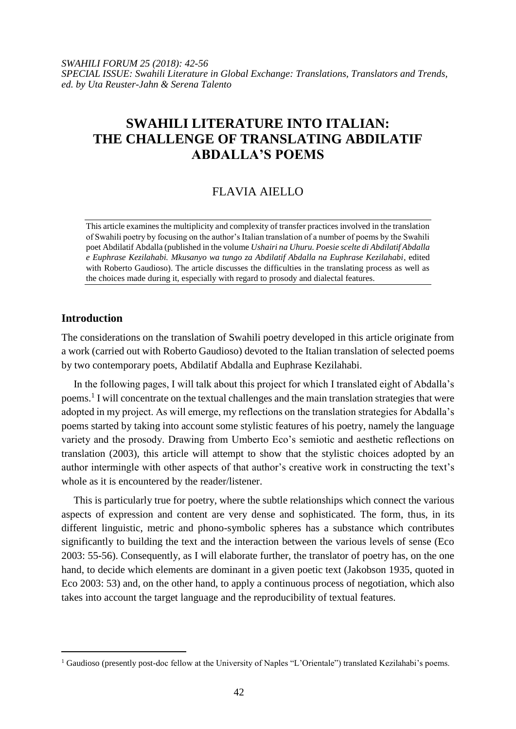*SWAHILI FORUM 25 (2018): 42-56 SPECIAL ISSUE: Swahili Literature in Global Exchange: Translations, Translators and Trends, ed. by Uta Reuster-Jahn & Serena Talento*

# **SWAHILI LITERATURE INTO ITALIAN: THE CHALLENGE OF TRANSLATING ABDILATIF ABDALLA'S POEMS**

## FLAVIA AIELLO

This article examines the multiplicity and complexity of transfer practices involved in the translation of Swahili poetry by focusing on the author's Italian translation of a number of poems by the Swahili poet Abdilatif Abdalla (published in the volume *Ushairi na Uhuru. Poesie scelte di Abdilatif Abdalla e Euphrase Kezilahabi. Mkusanyo wa tungo za Abdilatif Abdalla na Euphrase Kezilahabi*, edited with Roberto Gaudioso). The article discusses the difficulties in the translating process as well as the choices made during it, especially with regard to prosody and dialectal features.

## **Introduction**

 $\overline{\phantom{a}}$ 

The considerations on the translation of Swahili poetry developed in this article originate from a work (carried out with Roberto Gaudioso) devoted to the Italian translation of selected poems by two contemporary poets, Abdilatif Abdalla and Euphrase Kezilahabi.

In the following pages, I will talk about this project for which I translated eight of Abdalla's poems.<sup>1</sup> I will concentrate on the textual challenges and the main translation strategies that were adopted in my project. As will emerge, my reflections on the translation strategies for Abdalla's poems started by taking into account some stylistic features of his poetry, namely the language variety and the prosody. Drawing from Umberto Eco's semiotic and aesthetic reflections on translation (2003), this article will attempt to show that the stylistic choices adopted by an author intermingle with other aspects of that author's creative work in constructing the text's whole as it is encountered by the reader/listener.

This is particularly true for poetry, where the subtle relationships which connect the various aspects of expression and content are very dense and sophisticated. The form, thus, in its different linguistic, metric and phono-symbolic spheres has a substance which contributes significantly to building the text and the interaction between the various levels of sense (Eco 2003: 55-56). Consequently, as I will elaborate further, the translator of poetry has, on the one hand, to decide which elements are dominant in a given poetic text (Jakobson 1935, quoted in Eco 2003: 53) and, on the other hand, to apply a continuous process of negotiation, which also takes into account the target language and the reproducibility of textual features.

<sup>&</sup>lt;sup>1</sup> Gaudioso (presently post-doc fellow at the University of Naples "L'Orientale") translated Kezilahabi's poems.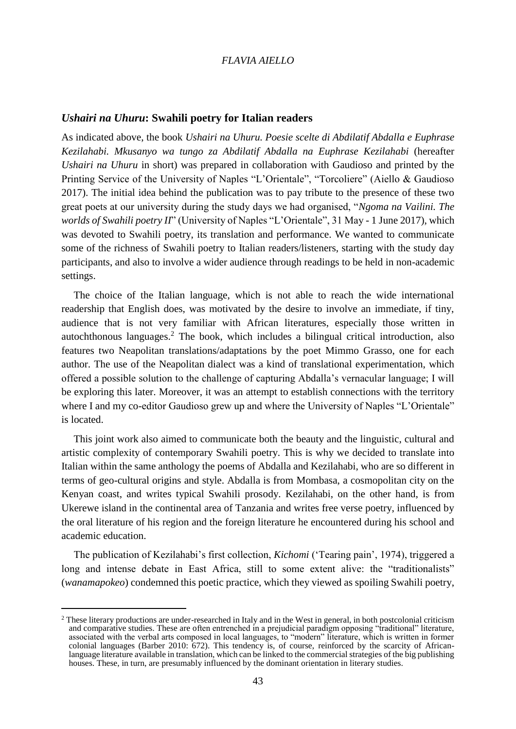## *Ushairi na Uhuru***: Swahili poetry for Italian readers**

As indicated above, the book *Ushairi na Uhuru. Poesie scelte di Abdilatif Abdalla e Euphrase Kezilahabi. Mkusanyo wa tungo za Abdilatif Abdalla na Euphrase Kezilahabi* (hereafter *Ushairi na Uhuru* in short) was prepared in collaboration with Gaudioso and printed by the Printing Service of the University of Naples "L'Orientale", "Torcoliere" (Aiello & Gaudioso 2017). The initial idea behind the publication was to pay tribute to the presence of these two great poets at our university during the study days we had organised, "*Ngoma na Vailini. The worlds of Swahili poetry II*" (University of Naples "L'Orientale", 31 May - 1 June 2017), which was devoted to Swahili poetry, its translation and performance. We wanted to communicate some of the richness of Swahili poetry to Italian readers/listeners, starting with the study day participants, and also to involve a wider audience through readings to be held in non-academic settings.

The choice of the Italian language, which is not able to reach the wide international readership that English does, was motivated by the desire to involve an immediate, if tiny, audience that is not very familiar with African literatures, especially those written in autochthonous languages.<sup>2</sup> The book, which includes a bilingual critical introduction, also features two Neapolitan translations/adaptations by the poet Mimmo Grasso, one for each author. The use of the Neapolitan dialect was a kind of translational experimentation, which offered a possible solution to the challenge of capturing Abdalla's vernacular language; I will be exploring this later. Moreover, it was an attempt to establish connections with the territory where I and my co-editor Gaudioso grew up and where the University of Naples "L'Orientale" is located.

This joint work also aimed to communicate both the beauty and the linguistic, cultural and artistic complexity of contemporary Swahili poetry. This is why we decided to translate into Italian within the same anthology the poems of Abdalla and Kezilahabi, who are so different in terms of geo-cultural origins and style. Abdalla is from Mombasa, a cosmopolitan city on the Kenyan coast, and writes typical Swahili prosody. Kezilahabi, on the other hand, is from Ukerewe island in the continental area of Tanzania and writes free verse poetry, influenced by the oral literature of his region and the foreign literature he encountered during his school and academic education.

The publication of Kezilahabi's first collection, *Kichomi* ('Tearing pain', 1974), triggered a long and intense debate in East Africa, still to some extent alive: the "traditionalists" (*wanamapokeo*) condemned this poetic practice, which they viewed as spoiling Swahili poetry,

l

<sup>2</sup> These literary productions are under-researched in Italy and in the West in general, in both postcolonial criticism and comparative studies. These are often entrenched in a prejudicial paradigm opposing "traditional" literature, associated with the verbal arts composed in local languages, to "modern" literature, which is written in former colonial languages (Barber 2010: 672). This tendency is, of course, reinforced by the scarcity of Africanlanguage literature available in translation, which can be linked to the commercial strategies of the big publishing houses. These, in turn, are presumably influenced by the dominant orientation in literary studies.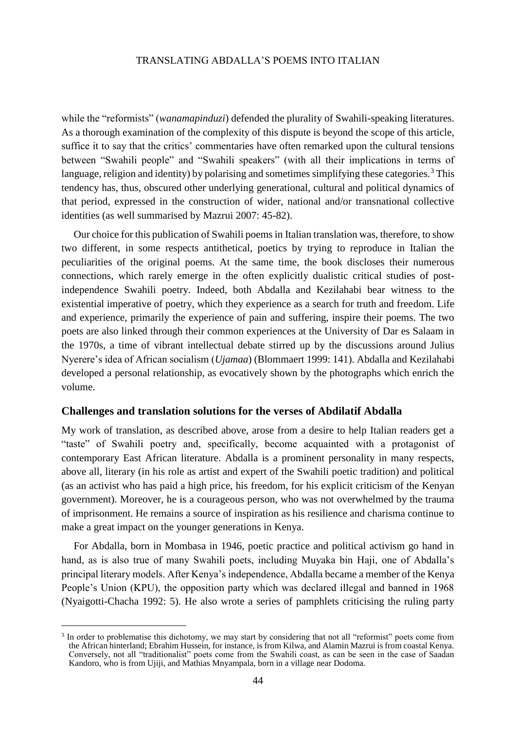while the "reformists" (*wanamapinduzi*) defended the plurality of Swahili-speaking literatures. As a thorough examination of the complexity of this dispute is beyond the scope of this article, suffice it to say that the critics' commentaries have often remarked upon the cultural tensions between "Swahili people" and "Swahili speakers" (with all their implications in terms of language, religion and identity) by polarising and sometimes simplifying these categories.<sup>3</sup> This tendency has, thus, obscured other underlying generational, cultural and political dynamics of that period, expressed in the construction of wider, national and/or transnational collective identities (as well summarised by Mazrui 2007: 45-82).

Our choice for this publication of Swahili poems in Italian translation was, therefore, to show two different, in some respects antithetical, poetics by trying to reproduce in Italian the peculiarities of the original poems. At the same time, the book discloses their numerous connections, which rarely emerge in the often explicitly dualistic critical studies of postindependence Swahili poetry. Indeed, both Abdalla and Kezilahabi bear witness to the existential imperative of poetry, which they experience as a search for truth and freedom. Life and experience, primarily the experience of pain and suffering, inspire their poems. The two poets are also linked through their common experiences at the University of Dar es Salaam in the 1970s, a time of vibrant intellectual debate stirred up by the discussions around Julius Nyerere's idea of African socialism (*Ujamaa*) (Blommaert 1999: 141). Abdalla and Kezilahabi developed a personal relationship, as evocatively shown by the photographs which enrich the volume.

#### **Challenges and translation solutions for the verses of Abdilatif Abdalla**

My work of translation, as described above, arose from a desire to help Italian readers get a "taste" of Swahili poetry and, specifically, become acquainted with a protagonist of contemporary East African literature. Abdalla is a prominent personality in many respects, above all, literary (in his role as artist and expert of the Swahili poetic tradition) and political (as an activist who has paid a high price, his freedom, for his explicit criticism of the Kenyan government). Moreover, he is a courageous person, who was not overwhelmed by the trauma of imprisonment. He remains a source of inspiration as his resilience and charisma continue to make a great impact on the younger generations in Kenya.

For Abdalla, born in Mombasa in 1946, poetic practice and political activism go hand in hand, as is also true of many Swahili poets, including Muyaka bin Haji, one of Abdalla's principal literary models. After Kenya's independence, Abdalla became a member of the Kenya People's Union (KPU), the opposition party which was declared illegal and banned in 1968 (Nyaigotti-Chacha 1992: 5). He also wrote a series of pamphlets criticising the ruling party

<sup>&</sup>lt;sup>3</sup> In order to problematise this dichotomy, we may start by considering that not all "reformist" poets come from the African hinterland; Ebrahim Hussein, for instance, is from Kilwa, and Alamin Mazrui is from coastal Kenya. Conversely, not all "traditionalist" poets come from the Swahili coast, as can be seen in the case of Saadan Kandoro, who is from Ujiji, and Mathias Mnyampala, born in a village near Dodoma.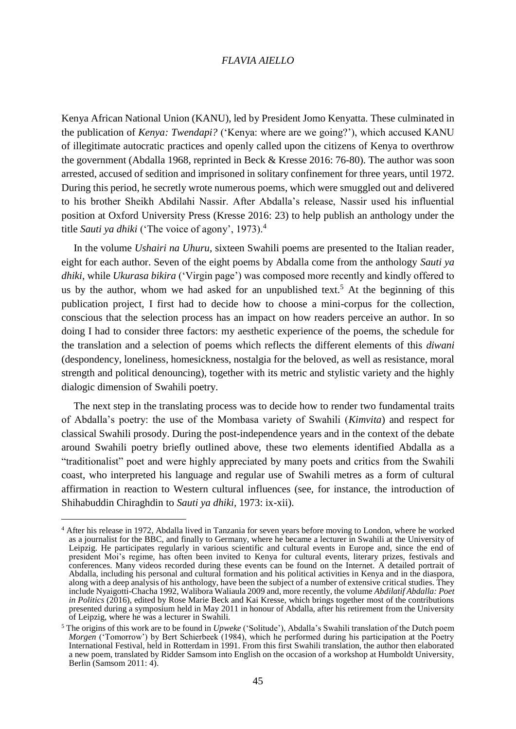Kenya African National Union (KANU), led by President Jomo Kenyatta. These culminated in the publication of *Kenya: Twendapi?* ('Kenya: where are we going?'), which accused KANU of illegitimate autocratic practices and openly called upon the citizens of Kenya to overthrow the government (Abdalla 1968, reprinted in Beck & Kresse 2016: 76-80). The author was soon arrested, accused of sedition and imprisoned in solitary confinement for three years, until 1972. During this period, he secretly wrote numerous poems, which were smuggled out and delivered to his brother Sheikh Abdilahi Nassir. After Abdalla's release, Nassir used his influential position at Oxford University Press (Kresse 2016: 23) to help publish an anthology under the title *Sauti ya dhiki* ('The voice of agony', 1973).<sup>4</sup>

In the volume *Ushairi na Uhuru,* sixteen Swahili poems are presented to the Italian reader, eight for each author. Seven of the eight poems by Abdalla come from the anthology *Sauti ya dhiki*, while *Ukurasa bikira* ('Virgin page') was composed more recently and kindly offered to us by the author, whom we had asked for an unpublished text.<sup>5</sup> At the beginning of this publication project, I first had to decide how to choose a mini-corpus for the collection, conscious that the selection process has an impact on how readers perceive an author. In so doing I had to consider three factors: my aesthetic experience of the poems, the schedule for the translation and a selection of poems which reflects the different elements of this *diwani* (despondency, loneliness, homesickness, nostalgia for the beloved, as well as resistance, moral strength and political denouncing), together with its metric and stylistic variety and the highly dialogic dimension of Swahili poetry.

The next step in the translating process was to decide how to render two fundamental traits of Abdalla's poetry: the use of the Mombasa variety of Swahili (*Kimvita*) and respect for classical Swahili prosody. During the post-independence years and in the context of the debate around Swahili poetry briefly outlined above, these two elements identified Abdalla as a "traditionalist" poet and were highly appreciated by many poets and critics from the Swahili coast, who interpreted his language and regular use of Swahili metres as a form of cultural affirmation in reaction to Western cultural influences (see, for instance, the introduction of Shihabuddin Chiraghdin to *Sauti ya dhiki,* 1973: ix-xii).

<sup>4</sup> After his release in 1972, Abdalla lived in Tanzania for seven years before moving to London, where he worked as a journalist for the BBC, and finally to Germany, where he became a lecturer in Swahili at the University of Leipzig. He participates regularly in various scientific and cultural events in Europe and, since the end of president Moi's regime, has often been invited to Kenya for cultural events, literary prizes, festivals and conferences. Many videos recorded during these events can be found on the Internet. A detailed portrait of Abdalla, including his personal and cultural formation and his political activities in Kenya and in the diaspora, along with a deep analysis of his anthology, have been the subject of a number of extensive critical studies. They include Nyaigotti-Chacha 1992, Walibora Waliaula 2009 and, more recently, the volume *Abdilatif Abdalla: Poet in Politics* (2016), edited by Rose Marie Beck and Kai Kresse, which brings together most of the contributions presented during a symposium held in May 2011 in honour of Abdalla, after his retirement from the University of Leipzig, where he was a lecturer in Swahili.

<sup>5</sup> The origins of this work are to be found in *Upweke* ('Solitude'), Abdalla's Swahili translation of the Dutch poem *Morgen* ('Tomorrow') by Bert Schierbeek (1984), which he performed during his participation at the Poetry International Festival, held in Rotterdam in 1991. From this first Swahili translation, the author then elaborated a new poem, translated by Ridder Samsom into English on the occasion of a workshop at Humboldt University, Berlin (Samsom 2011: 4).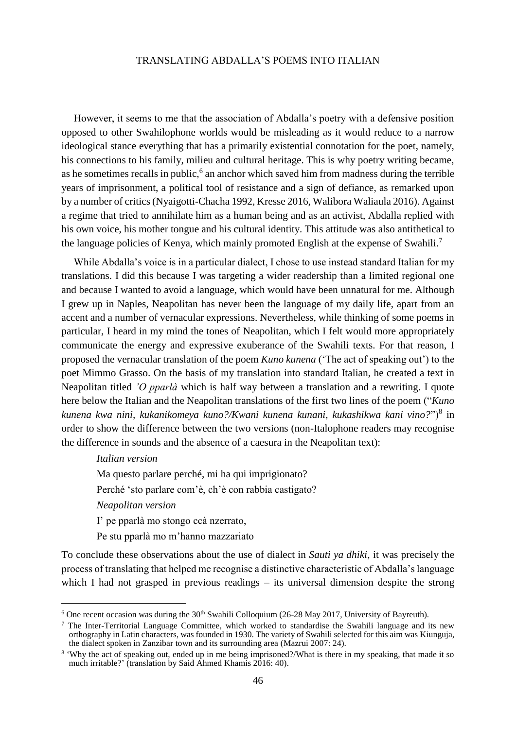However, it seems to me that the association of Abdalla's poetry with a defensive position opposed to other Swahilophone worlds would be misleading as it would reduce to a narrow ideological stance everything that has a primarily existential connotation for the poet, namely, his connections to his family, milieu and cultural heritage. This is why poetry writing became, as he sometimes recalls in public,<sup>6</sup> an anchor which saved him from madness during the terrible years of imprisonment, a political tool of resistance and a sign of defiance, as remarked upon by a number of critics (Nyaigotti-Chacha 1992, Kresse 2016, Walibora Waliaula 2016). Against a regime that tried to annihilate him as a human being and as an activist, Abdalla replied with his own voice, his mother tongue and his cultural identity. This attitude was also antithetical to the language policies of Kenya, which mainly promoted English at the expense of Swahili.<sup>7</sup>

While Abdalla's voice is in a particular dialect, I chose to use instead standard Italian for my translations. I did this because I was targeting a wider readership than a limited regional one and because I wanted to avoid a language, which would have been unnatural for me. Although I grew up in Naples, Neapolitan has never been the language of my daily life, apart from an accent and a number of vernacular expressions. Nevertheless, while thinking of some poems in particular, I heard in my mind the tones of Neapolitan, which I felt would more appropriately communicate the energy and expressive exuberance of the Swahili texts. For that reason, I proposed the vernacular translation of the poem *Kuno kunena* ('The act of speaking out') to the poet Mimmo Grasso. On the basis of my translation into standard Italian, he created a text in Neapolitan titled *'O pparlà* which is half way between a translation and a rewriting. I quote here below the Italian and the Neapolitan translations of the first two lines of the poem ("*Kuno kunena kwa nini, kukanikomeya kuno?/Kwani kunena kunani, kukashikwa kani vino?*")<sup>8</sup> in order to show the difference between the two versions (non-Italophone readers may recognise the difference in sounds and the absence of a caesura in the Neapolitan text):

## *Italian version*

Ma questo parlare perché, mi ha qui imprigionato?

Perché 'sto parlare com'è, ch'è con rabbia castigato?

*Neapolitan version*

l

I' pe pparlà mo stongo ccà nzerrato,

Pe stu pparlà mo m'hanno mazzariato

To conclude these observations about the use of dialect in *Sauti ya dhiki*, it was precisely the process of translating that helped me recognise a distinctive characteristic of Abdalla's language which I had not grasped in previous readings – its universal dimension despite the strong

<sup>&</sup>lt;sup>6</sup> One recent occasion was during the  $30<sup>th</sup>$  Swahili Colloquium (26-28 May 2017, University of Bayreuth).

 $7$  The Inter-Territorial Language Committee, which worked to standardise the Swahili language and its new orthography in Latin characters, was founded in 1930. The variety of Swahili selected for this aim was Kiunguja, the dialect spoken in Zanzibar town and its surrounding area (Mazrui 2007: 24).

<sup>&</sup>lt;sup>8</sup> 'Why the act of speaking out, ended up in me being imprisoned?/What is there in my speaking, that made it so much irritable?' (translation by Said Ahmed Khamis 2016: 40).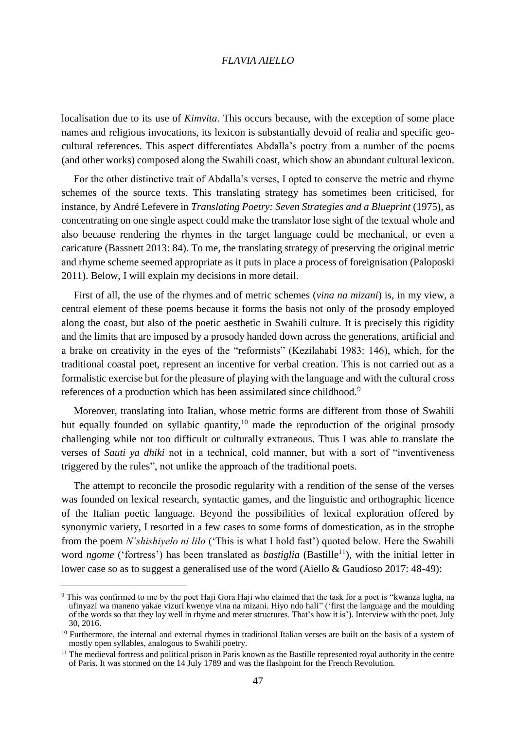localisation due to its use of *Kimvita*. This occurs because, with the exception of some place names and religious invocations, its lexicon is substantially devoid of realia and specific geocultural references. This aspect differentiates Abdalla's poetry from a number of the poems (and other works) composed along the Swahili coast, which show an abundant cultural lexicon.

For the other distinctive trait of Abdalla's verses, I opted to conserve the metric and rhyme schemes of the source texts. This translating strategy has sometimes been criticised, for instance, by André Lefevere in *Translating Poetry: Seven Strategies and a Blueprint* (1975), as concentrating on one single aspect could make the translator lose sight of the textual whole and also because rendering the rhymes in the target language could be mechanical, or even a caricature (Bassnett 2013: 84). To me, the translating strategy of preserving the original metric and rhyme scheme seemed appropriate as it puts in place a process of foreignisation (Paloposki 2011). Below, I will explain my decisions in more detail.

First of all, the use of the rhymes and of metric schemes (*vina na mizani*) is, in my view, a central element of these poems because it forms the basis not only of the prosody employed along the coast, but also of the poetic aesthetic in Swahili culture. It is precisely this rigidity and the limits that are imposed by a prosody handed down across the generations, artificial and a brake on creativity in the eyes of the "reformists" (Kezilahabi 1983: 146), which, for the traditional coastal poet, represent an incentive for verbal creation. This is not carried out as a formalistic exercise but for the pleasure of playing with the language and with the cultural cross references of a production which has been assimilated since childhood.<sup>9</sup>

Moreover, translating into Italian, whose metric forms are different from those of Swahili but equally founded on syllabic quantity,  $10$  made the reproduction of the original prosody challenging while not too difficult or culturally extraneous. Thus I was able to translate the verses of *Sauti ya dhiki* not in a technical, cold manner, but with a sort of "inventiveness triggered by the rules", not unlike the approach of the traditional poets.

The attempt to reconcile the prosodic regularity with a rendition of the sense of the verses was founded on lexical research, syntactic games, and the linguistic and orthographic licence of the Italian poetic language. Beyond the possibilities of lexical exploration offered by synonymic variety, I resorted in a few cases to some forms of domestication, as in the strophe from the poem *N'shishiyelo ni lilo* ('This is what I hold fast') quoted below. Here the Swahili word *ngome* ('fortress') has been translated as *bastiglia* (Bastille<sup>11</sup>), with the initial letter in lower case so as to suggest a generalised use of the word (Aiello & Gaudioso 2017: 48-49):

<sup>&</sup>lt;sup>9</sup> This was confirmed to me by the poet Haji Gora Haji who claimed that the task for a poet is "kwanza lugha, na ufinyazi wa maneno yakae vizuri kwenye vina na mizani. Hiyo ndo hali" ('first the language and the moulding of the words so that they lay well in rhyme and meter structures. That's how it is'). Interview with the poet, July 30, 2016.

<sup>&</sup>lt;sup>10</sup> Furthermore, the internal and external rhymes in traditional Italian verses are built on the basis of a system of mostly open syllables, analogous to Swahili poetry.

 $<sup>11</sup>$  The medieval [fortress](https://en.wikipedia.org/wiki/Fortress) and [political prison](https://en.wikipedia.org/wiki/Political_prison) in Paris known as th[e Bastille](https://en.wikipedia.org/wiki/Bastille) represented royal authority in the centre</sup> of Paris. It was stormed on the 14 July 1789 and was the flashpoint for the French Revolution.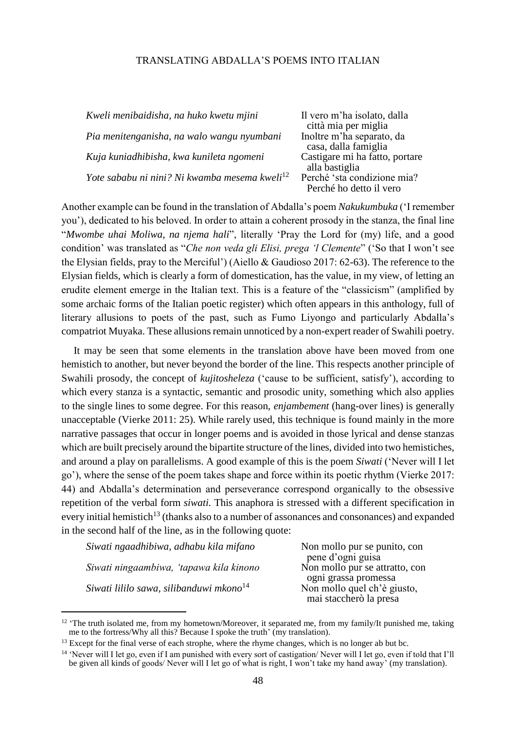| Kweli menibaidisha, na huko kwetu mjini                   | Il vero m'ha isolato, dalla<br>città mia per miglia |
|-----------------------------------------------------------|-----------------------------------------------------|
| Pia menitenganisha, na walo wangu nyumbani                | Inoltre m'ha separato, da                           |
|                                                           | casa, dalla famiglia                                |
| Kuja kuniadhibisha, kwa kunileta ngomeni                  | Castigare mi ha fatto, portare                      |
|                                                           | alla bastiglia                                      |
| Yote sababu ni nini? Ni kwamba mesema kweli <sup>12</sup> | Perché 'sta condizione mia?                         |
|                                                           | Perché ho detto il vero                             |

Another example can be found in the translation of Abdalla's poem *Nakukumbuka* ('I remember you'), dedicated to his beloved. In order to attain a coherent prosody in the stanza, the final line "*Mwombe uhai Moliwa, na njema hali*", literally 'Pray the Lord for (my) life, and a good condition' was translated as "*Che non veda gli Elisi, prega 'l Clemente*" ('So that I won't see the Elysian fields, pray to the Merciful') (Aiello & Gaudioso 2017: 62-63). The reference to the Elysian fields, which is clearly a form of domestication, has the value, in my view, of letting an erudite element emerge in the Italian text. This is a feature of the "classicism" (amplified by some archaic forms of the Italian poetic register) which often appears in this anthology, full of literary allusions to poets of the past, such as Fumo Liyongo and particularly Abdalla's compatriot Muyaka. These allusions remain unnoticed by a non-expert reader of Swahili poetry.

It may be seen that some elements in the translation above have been moved from one hemistich to another, but never beyond the border of the line. This respects another principle of Swahili prosody, the concept of *kujitosheleza* ('cause to be sufficient, satisfy'), according to which every stanza is a syntactic, semantic and prosodic unity, something which also applies to the single lines to some degree. For this reason, *enjambement* (hang-over lines) is generally unacceptable (Vierke 2011: 25). While rarely used, this technique is found mainly in the more narrative passages that occur in longer poems and is avoided in those lyrical and dense stanzas which are built precisely around the bipartite structure of the lines, divided into two hemistiches, and around a play on parallelisms. A good example of this is the poem *Siwati* ('Never will I let go'), where the sense of the poem takes shape and force within its poetic rhythm (Vierke 2017: 44) and Abdalla's determination and perseverance correspond organically to the obsessive repetition of the verbal form *siwati.* This anaphora is stressed with a different specification in every initial hemistich<sup>13</sup> (thanks also to a number of assonances and consonances) and expanded in the second half of the line, as in the following quote:

| Siwati ngaadhibiwa, adhabu kila mifano              | Non mollo pur se punito, con   |
|-----------------------------------------------------|--------------------------------|
|                                                     | pene d'ogni guisa              |
| Siwati ningaambiwa, 'tapawa kila kinono             | Non mollo pur se attratto, con |
|                                                     | ogni grassa promessa           |
| Siwati lililo sawa, silibanduwi mkono <sup>14</sup> | Non mollo quel ch'è giusto,    |
|                                                     | mai staccherò la presa         |

<sup>&</sup>lt;sup>12</sup> 'The truth isolated me, from my hometown/Moreover, it separated me, from my family/It punished me, taking me to the fortress/Why all this? Because I spoke the truth' (my translation).

<sup>&</sup>lt;sup>13</sup> Except for the final verse of each strophe, where the rhyme changes, which is no longer ab but bc.

<sup>&</sup>lt;sup>14</sup> 'Never will I let go, even if I am punished with every sort of castigation/Never will I let go, even if told that I'll be given all kinds of goods/ Never will I let go of what is right, I won't take my hand away' (my translation).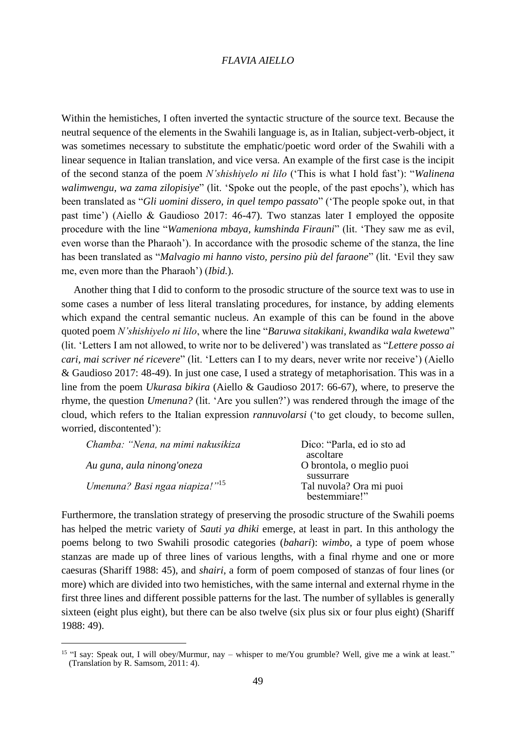Within the hemistiches, I often inverted the syntactic structure of the source text. Because the neutral sequence of the elements in the Swahili language is, as in Italian, subject-verb-object, it was sometimes necessary to substitute the emphatic/poetic word order of the Swahili with a linear sequence in Italian translation, and vice versa. An example of the first case is the incipit of the second stanza of the poem *N'shishiyelo ni lilo* ('This is what I hold fast'): "*Walinena walimwengu, wa zama zilopisiye*" (lit. 'Spoke out the people, of the past epochs'), which has been translated as "*Gli uomini dissero, in quel tempo passato*" ('The people spoke out, in that past time') (Aiello & Gaudioso 2017: 46-47). Two stanzas later I employed the opposite procedure with the line "*Wameniona mbaya, kumshinda Firauni*" (lit. 'They saw me as evil, even worse than the Pharaoh'). In accordance with the prosodic scheme of the stanza, the line has been translated as "*Malvagio mi hanno visto, persino più del faraone*" (lit. 'Evil they saw me, even more than the Pharaoh') (*Ibid.*).

Another thing that I did to conform to the prosodic structure of the source text was to use in some cases a number of less literal translating procedures, for instance, by adding elements which expand the central semantic nucleus. An example of this can be found in the above quoted poem *N'shishiyelo ni lilo*, where the line "*Baruwa sitakikani, kwandika wala kwetewa*" (lit. 'Letters I am not allowed, to write nor to be delivered') was translated as "*Lettere posso ai cari, mai scriver né ricevere*" (lit. 'Letters can I to my dears, never write nor receive') (Aiello & Gaudioso 2017: 48-49). In just one case, I used a strategy of metaphorisation. This was in a line from the poem *Ukurasa bikira* (Aiello & Gaudioso 2017: 66-67), where, to preserve the rhyme, the question *Umenuna?* (lit. 'Are you sullen?') was rendered through the image of the cloud, which refers to the Italian expression *rannuvolarsi* ('to get cloudy, to become sullen, worried, discontented'):

| Chamba: "Nena, na mimi nakusikiza          | Dico: "Parla, ed io sto ad |
|--------------------------------------------|----------------------------|
|                                            | ascoltare                  |
| Au guna, aula ninong'oneza                 | O brontola, o meglio puoi  |
|                                            | sussurrare                 |
| Umenuna? Basi ngaa niapiza!" <sup>15</sup> | Tal nuvola? Ora mi puoi    |
|                                            | bestemmiare!"              |

Furthermore, the translation strategy of preserving the prosodic structure of the Swahili poems has helped the metric variety of *Sauti ya dhiki* emerge, at least in part. In this anthology the poems belong to two Swahili prosodic categories (*bahari*): *wimbo*, a type of poem whose stanzas are made up of three lines of various lengths, with a final rhyme and one or more caesuras (Shariff 1988: 45), and *shairi*, a form of poem composed of stanzas of four lines (or more) which are divided into two hemistiches, with the same internal and external rhyme in the first three lines and different possible patterns for the last. The number of syllables is generally sixteen (eight plus eight), but there can be also twelve (six plus six or four plus eight) (Shariff 1988: 49).

<sup>&</sup>lt;sup>15</sup> "I say: Speak out, I will obey/Murmur, nay – whisper to me/You grumble? Well, give me a wink at least." (Translation by R. Samsom, 2011: 4).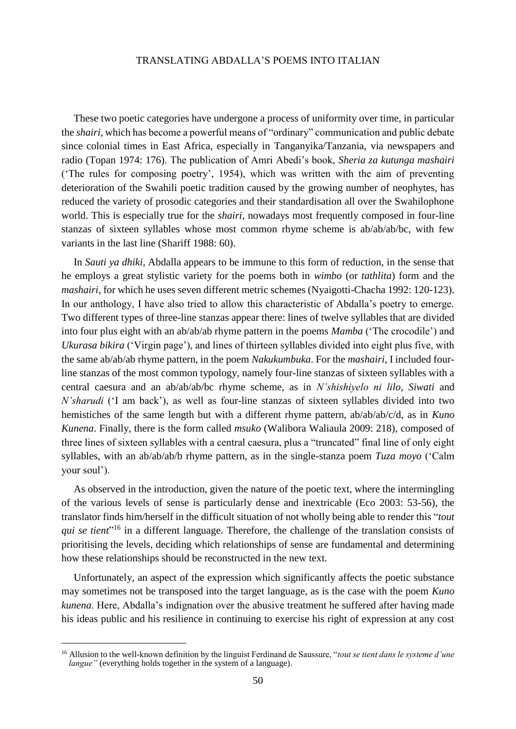These two poetic categories have undergone a process of uniformity over time, in particular the *shairi*, which has become a powerful means of "ordinary" communication and public debate since colonial times in East Africa, especially in Tanganyika/Tanzania, via newspapers and radio (Topan 1974: 176). The publication of Amri Abedi's book, *Sheria za kutunga mashairi* ('The rules for composing poetry', 1954), which was written with the aim of preventing deterioration of the Swahili poetic tradition caused by the growing number of neophytes, has reduced the variety of prosodic categories and their standardisation all over the Swahilophone world. This is especially true for the *shairi*, nowadays most frequently composed in four-line stanzas of sixteen syllables whose most common rhyme scheme is ab/ab/ab/bc, with few variants in the last line (Shariff 1988: 60).

In *Sauti ya dhiki,* Abdalla appears to be immune to this form of reduction, in the sense that he employs a great stylistic variety for the poems both in *wimbo* (or *tathlita*) form and the *mashairi*, for which he uses seven different metric schemes (Nyaigotti-Chacha 1992: 120-123). In our anthology, I have also tried to allow this characteristic of Abdalla's poetry to emerge. Two different types of three-line stanzas appear there: lines of twelve syllables that are divided into four plus eight with an ab/ab/ab rhyme pattern in the poems *Mamba* ('The crocodile') and *Ukurasa bikira* ('Virgin page'), and lines of thirteen syllables divided into eight plus five, with the same ab/ab/ab rhyme pattern, in the poem *Nakukumbuka*. For the *mashairi*, I included fourline stanzas of the most common typology, namely four-line stanzas of sixteen syllables with a central caesura and an ab/ab/ab/bc rhyme scheme, as in *N'shishiyelo ni lilo*, *Siwati* and *N'sharudi* ('I am back'), as well as four-line stanzas of sixteen syllables divided into two hemistiches of the same length but with a different rhyme pattern, ab/ab/ab/c/d, as in *Kuno Kunena*. Finally, there is the form called *msuko* (Walibora Waliaula 2009: 218), composed of three lines of sixteen syllables with a central caesura, plus a "truncated" final line of only eight syllables, with an ab/ab/ab/b rhyme pattern, as in the single-stanza poem *Tuza moyo* ('Calm your soul').

As observed in the introduction, given the nature of the poetic text, where the intermingling of the various levels of sense is particularly dense and inextricable (Eco 2003: 53-56), the translator finds him/herself in the difficult situation of not wholly being able to render this "*tout qui se tient*" <sup>16</sup> in a different language. Therefore, the challenge of the translation consists of prioritising the levels, deciding which relationships of sense are fundamental and determining how these relationships should be reconstructed in the new text.

Unfortunately, an aspect of the expression which significantly affects the poetic substance may sometimes not be transposed into the target language, as is the case with the poem *Kuno kunena*. Here, Abdalla's indignation over the abusive treatment he suffered after having made his ideas public and his resilience in continuing to exercise his right of expression at any cost

<sup>16</sup> Allusion to the well-known definition by the linguist Ferdinand de Saussure, "*tout se tient dans le systeme d'une langue*" (everything holds together in the system of a language).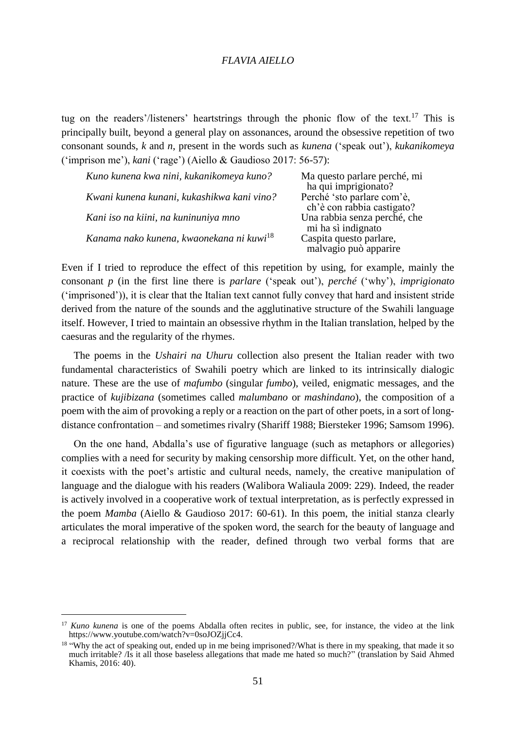tug on the readers'/listeners' heartstrings through the phonic flow of the text.<sup>17</sup> This is principally built, beyond a general play on assonances, around the obsessive repetition of two consonant sounds, *k* and *n*, present in the words such as *kunena* ('speak out'), *kukanikomeya*  ('imprison me'), *kani* ('rage') (Aiello & Gaudioso 2017: 56-57):

| Kuno kunena kwa nini, kukanikomeya kuno?             | Ma questo parlare perché, mi<br>ha qui imprigionato?     |
|------------------------------------------------------|----------------------------------------------------------|
| Kwani kunena kunani, kukashikwa kani vino?           | Perché 'sto parlare com'è,<br>ch'è con rabbia castigato? |
| Kani iso na kiini, na kuninuniya mno                 | Una rabbia senza perché, che<br>mi ha sì indignato       |
| Kanama nako kunena, kwaonekana ni kuwi <sup>18</sup> | Caspita questo parlare,<br>malvagio può apparire         |

Even if I tried to reproduce the effect of this repetition by using, for example, mainly the consonant *p* (in the first line there is *parlare* ('speak out'), *perché* ('why'), *imprigionato* ('imprisoned')), it is clear that the Italian text cannot fully convey that hard and insistent stride derived from the nature of the sounds and the agglutinative structure of the Swahili language itself. However, I tried to maintain an obsessive rhythm in the Italian translation, helped by the caesuras and the regularity of the rhymes.

The poems in the *Ushairi na Uhuru* collection also present the Italian reader with two fundamental characteristics of Swahili poetry which are linked to its intrinsically dialogic nature. These are the use of *mafumbo* (singular *fumbo*), veiled, enigmatic messages, and the practice of *kujibizana* (sometimes called *malumbano* or *mashindano*), the composition of a poem with the aim of provoking a reply or a reaction on the part of other poets, in a sort of longdistance confrontation – and sometimes rivalry (Shariff 1988; Biersteker 1996; Samsom 1996).

On the one hand, Abdalla's use of figurative language (such as metaphors or allegories) complies with a need for security by making censorship more difficult. Yet, on the other hand, it coexists with the poet's artistic and cultural needs, namely, the creative manipulation of language and the dialogue with his readers (Walibora Waliaula 2009: 229). Indeed, the reader is actively involved in a cooperative work of textual interpretation, as is perfectly expressed in the poem *Mamba* (Aiello & Gaudioso 2017: 60-61). In this poem, the initial stanza clearly articulates the moral imperative of the spoken word, the search for the beauty of language and a reciprocal relationship with the reader, defined through two verbal forms that are

<sup>&</sup>lt;sup>17</sup> *Kuno kunena* is one of the poems Abdalla often recites in public, see, for instance, the video at the link https://www.youtube.com/watch?v=0soJOZjjCc4.

<sup>&</sup>lt;sup>18</sup> "Why the act of speaking out, ended up in me being imprisoned?/What is there in my speaking, that made it so much irritable? /Is it all those baseless allegations that made me hated so much?" (translation by Said Ahmed Khamis, 2016: 40).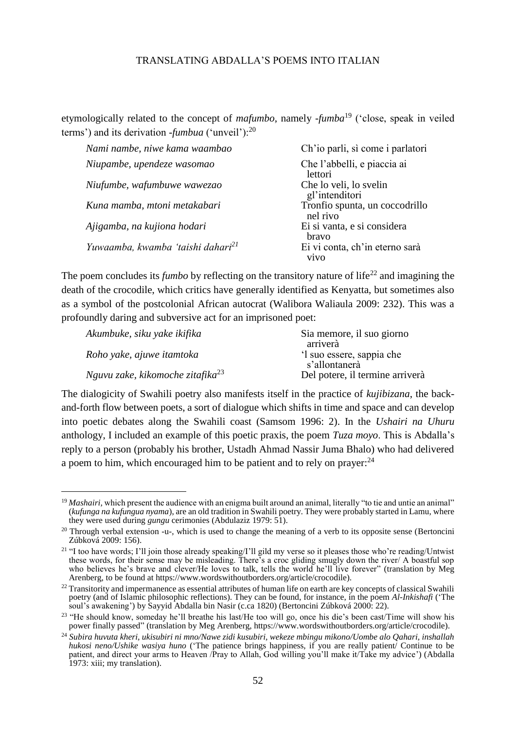etymologically related to the concept of *mafumbo*, namely -*fumba*<sup>19</sup> ('close, speak in veiled terms') and its derivation -*fumbua* ('unveil'):<sup>20</sup>

| Nami nambe, niwe kama waambao                 | Ch'io parli, sì come i parlatori              |
|-----------------------------------------------|-----------------------------------------------|
| Niupambe, upendeze wasomao                    | Che l'abbelli, e piaccia ai<br>lettori        |
| Niufumbe, wafumbuwe wawezao                   | Che lo veli, lo svelin<br>gl'intenditori      |
| Kuna mamba, mtoni metakabari                  | Tronfio spunta, un coccodrillo<br>nel rivo    |
| Ajigamba, na kujiona hodari                   | Ei si vanta, e si considera<br><b>bravo</b>   |
| Yuwaamba, kwamba 'taishi dahari <sup>21</sup> | Ei vi conta, ch'in eterno sarà<br><b>VIVO</b> |

The poem concludes its *fumbo* by reflecting on the transitory nature of life<sup>22</sup> and imagining the death of the crocodile, which critics have generally identified as Kenyatta, but sometimes also as a symbol of the postcolonial African autocrat (Walibora Waliaula 2009: 232). This was a profoundly daring and subversive act for an imprisoned poet:

| Akumbuke, siku yake ikifika                  | Sia memore, il suo giorno<br>arriverà |
|----------------------------------------------|---------------------------------------|
| Roho yake, ajuwe itamtoka                    | 'l suo essere, sappia che             |
|                                              | s'allontanerà                         |
| Nguvu zake, kikomoche zitafika <sup>23</sup> | Del potere, il termine arriverà       |

The dialogicity of Swahili poetry also manifests itself in the practice of *kujibizana*, the backand-forth flow between poets, a sort of dialogue which shifts in time and space and can develop into poetic debates along the Swahili coast (Samsom 1996: 2). In the *Ushairi na Uhuru* anthology, I included an example of this poetic praxis, the poem *Tuza moyo*. This is Abdalla's reply to a person (probably his brother, Ustadh Ahmad Nassir Juma Bhalo) who had delivered a poem to him, which encouraged him to be patient and to rely on prayer:  $24$ 

 $\overline{a}$ 

<sup>&</sup>lt;sup>19</sup> *Mashairi*, which present the audience with an enigma built around an animal, literally "to tie and untie an animal" (*kufunga na kufungua nyama*), are an old tradition in Swahili poetry. They were probably started in Lamu, where they were used during *gungu* cerimonies (Abdulaziz 1979: 51).

<sup>&</sup>lt;sup>20</sup> Through verbal extension -u-, which is used to change the meaning of a verb to its opposite sense (Bertoncini Zúbková 2009: 156).

<sup>&</sup>lt;sup>21</sup> "I too have words; I'll join those already speaking/I'll gild my verse so it pleases those who're reading/Untwist these words, for their sense may be misleading. There's a croc gliding smugly down the river/ A boastful sop who believes he's brave and clever/He loves to talk, tells the world he'll live forever" (translation by Meg Arenberg, to be found at https://www.wordswithoutborders.org/article/crocodile).

 $22$  Transitority and impermanence as essential attributes of human life on earth are key concepts of classical Swahili poetry (and of Islamic philosophic reflections). They can be found, for instance, in the poem *Al-Inkishafi* ('The soul's awakening') by Sayyid Abdalla bin Nasir (c.ca 1820) (Bertoncini Zúbková 2000: 22).

<sup>&</sup>lt;sup>23</sup> "He should know, someday he'll breathe his last/He too will go, once his die's been cast/Time will show his power finally passed" (translation by Meg Arenberg, https://www.wordswithoutborders.org/article/crocodile).

<sup>24</sup> *Subira huvuta kheri, ukisubiri ni mno/Nawe zidi kusubiri, wekeze mbingu mikono/Uombe alo Qahari, inshallah hukosi neno/Ushike wasiya huno* ('The patience brings happiness, if you are really patient<sup>7</sup> Continue to be patient, and direct your arms to Heaven /Pray to Allah, God willing you'll make it/Take my advice') (Abdalla 1973: xiii; my translation).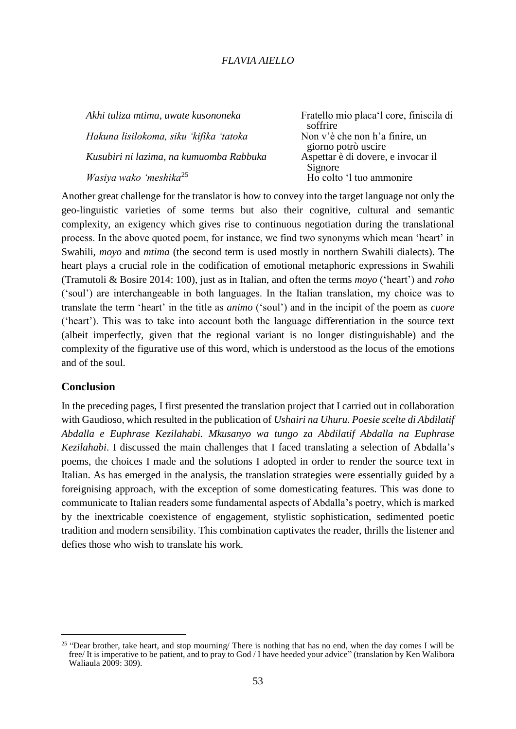| Akhi tuliza mtima, uwate kusononeka     | Fratello mio placa'l core, finiscila di<br>soffrire   |
|-----------------------------------------|-------------------------------------------------------|
| Hakuna lisilokoma, siku 'kifika 'tatoka | Non v'è che non h'a finire, un<br>giorno potrò uscire |
| Kusubiri ni lazima, na kumuomba Rabbuka | Aspettar è di dovere, e invocar il                    |
| Wasiya wako 'meshika <sup>25</sup>      | Signore<br>Ho colto 'l tuo ammonire                   |

Another great challenge for the translator is how to convey into the target language not only the geo-linguistic varieties of some terms but also their cognitive, cultural and semantic complexity, an exigency which gives rise to continuous negotiation during the translational process. In the above quoted poem, for instance, we find two synonyms which mean 'heart' in Swahili, *moyo* and *mtima* (the second term is used mostly in northern Swahili dialects). The heart plays a crucial role in the codification of emotional metaphoric expressions in Swahili (Tramutoli & Bosire 2014: 100), just as in Italian, and often the terms *moyo* ('heart') and *roho* ('soul') are interchangeable in both languages. In the Italian translation, my choice was to translate the term 'heart' in the title as *animo* ('soul') and in the incipit of the poem as *cuore* ('heart'). This was to take into account both the language differentiation in the source text (albeit imperfectly, given that the regional variant is no longer distinguishable) and the complexity of the figurative use of this word, which is understood as the locus of the emotions and of the soul.

## **Conclusion**

l

In the preceding pages, I first presented the translation project that I carried out in collaboration with Gaudioso, which resulted in the publication of *Ushairi na Uhuru. Poesie scelte di Abdilatif Abdalla e Euphrase Kezilahabi. Mkusanyo wa tungo za Abdilatif Abdalla na Euphrase Kezilahabi*. I discussed the main challenges that I faced translating a selection of Abdalla's poems, the choices I made and the solutions I adopted in order to render the source text in Italian. As has emerged in the analysis, the translation strategies were essentially guided by a foreignising approach, with the exception of some domesticating features. This was done to communicate to Italian readers some fundamental aspects of Abdalla's poetry, which is marked by the inextricable coexistence of engagement, stylistic sophistication, sedimented poetic tradition and modern sensibility. This combination captivates the reader, thrills the listener and defies those who wish to translate his work.

<sup>&</sup>lt;sup>25</sup> "Dear brother, take heart, and stop mourning/ There is nothing that has no end, when the day comes I will be free/ It is imperative to be patient, and to pray to God / I have heeded your advice" (translation by Ken Walibora Waliaula 2009: 309).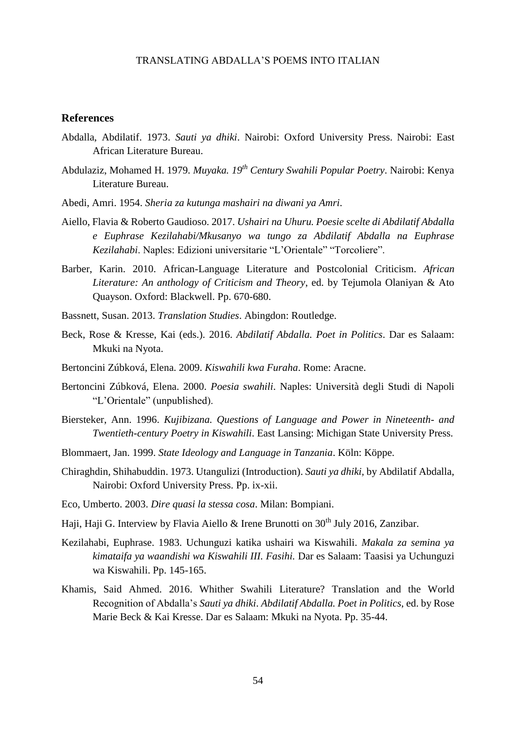## **References**

- Abdalla, Abdilatif. 1973. *Sauti ya dhiki*. Nairobi: Oxford University Press. Nairobi: East African Literature Bureau.
- Abdulaziz, Mohamed H. 1979. *Muyaka. 19th Century Swahili Popular Poetry*. Nairobi: Kenya Literature Bureau.
- Abedi, Amri. 1954. *Sheria za kutunga mashairi na diwani ya Amri*.
- Aiello, Flavia & Roberto Gaudioso. 2017. *Ushairi na Uhuru. Poesie scelte di Abdilatif Abdalla e Euphrase Kezilahabi/Mkusanyo wa tungo za Abdilatif Abdalla na Euphrase Kezilahabi*. Naples: Edizioni universitarie "L'Orientale" "Torcoliere".
- Barber, Karin. 2010. African-Language Literature and Postcolonial Criticism. *African Literature: An anthology of Criticism and Theory*, ed. by Tejumola Olaniyan & Ato Quayson. Oxford: Blackwell. Pp. 670-680.
- Bassnett, Susan. 2013. *Translation Studies*. Abingdon: Routledge.
- Beck, Rose & Kresse, Kai (eds.). 2016. *Abdilatif Abdalla. Poet in Politics*. Dar es Salaam: Mkuki na Nyota.
- Bertoncini Zúbková, Elena. 2009. *Kiswahili kwa Furaha*. Rome: Aracne.
- Bertoncini Zúbková, Elena. 2000. *Poesia swahili*. Naples: Università degli Studi di Napoli "L'Orientale" (unpublished).
- Biersteker, Ann. 1996. *Kujibizana. Questions of Language and Power in Nineteenth- and Twentieth-century Poetry in Kiswahili*. East Lansing: Michigan State University Press.
- Blommaert, Jan. 1999. *State Ideology and Language in Tanzania*. Köln: Köppe.
- Chiraghdin, Shihabuddin. 1973. Utangulizi (Introduction). *Sauti ya dhiki,* by Abdilatif Abdalla, Nairobi: Oxford University Press. Pp. ix-xii.
- Eco, Umberto. 2003. *Dire quasi la stessa cosa*. Milan: Bompiani.
- Haji, Haji G. Interview by Flavia Aiello & Irene Brunotti on 30<sup>th</sup> July 2016, Zanzibar.
- Kezilahabi, Euphrase. 1983. Uchunguzi katika ushairi wa Kiswahili. *Makala za semina ya kimataifa ya waandishi wa Kiswahili III. Fasihi.* Dar es Salaam: Taasisi ya Uchunguzi wa Kiswahili. Pp. 145-165.
- Khamis, Said Ahmed. 2016. Whither Swahili Literature? Translation and the World Recognition of Abdalla's *Sauti ya dhiki*. *Abdilatif Abdalla. Poet in Politics*, ed. by Rose Marie Beck & Kai Kresse. Dar es Salaam: Mkuki na Nyota. Pp. 35-44.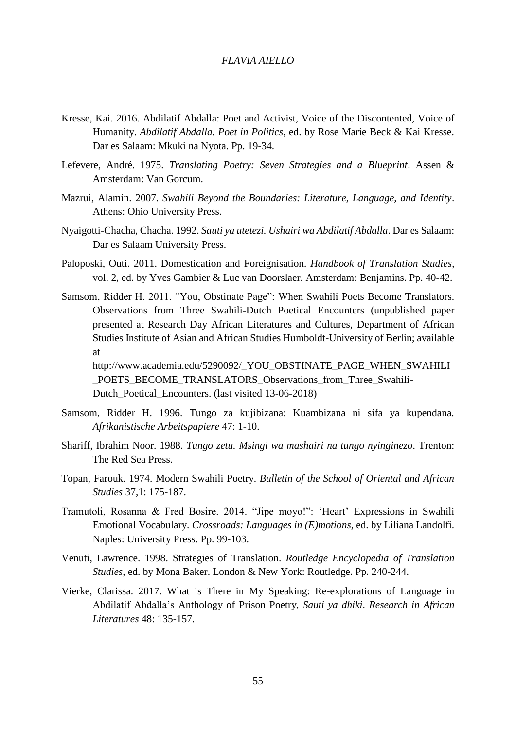- Kresse, Kai. 2016. Abdilatif Abdalla: Poet and Activist, Voice of the Discontented, Voice of Humanity. *Abdilatif Abdalla. Poet in Politics*, ed. by Rose Marie Beck & Kai Kresse. Dar es Salaam: Mkuki na Nyota. Pp. 19-34.
- Lefevere, André. 1975. *Translating Poetry: Seven Strategies and a Blueprint*. Assen & Amsterdam: Van Gorcum.
- Mazrui, Alamin. 2007. *Swahili Beyond the Boundaries: Literature, Language, and Identity*. Athens: Ohio University Press.
- Nyaigotti-Chacha, Chacha. 1992. *Sauti ya utetezi. Ushairi wa Abdilatif Abdalla*. Dar es Salaam: Dar es Salaam University Press.
- Paloposki, Outi. 2011. Domestication and Foreignisation. *Handbook of Translation Studies*, vol. 2, ed. by Yves Gambier & Luc van Doorslaer. Amsterdam: Benjamins. Pp. 40-42.
- Samsom, Ridder H. 2011. "You, Obstinate Page": When Swahili Poets Become Translators. Observations from Three Swahili-Dutch Poetical Encounters (unpublished paper presented at Research Day African Literatures and Cultures, Department of African Studies Institute of Asian and African Studies Humboldt-University of Berlin; available at

http://www.academia.edu/5290092/\_YOU\_OBSTINATE\_PAGE\_WHEN\_SWAHILI \_POETS\_BECOME\_TRANSLATORS\_Observations\_from\_Three\_Swahili-Dutch Poetical Encounters. (last visited 13-06-2018)

- Samsom, Ridder H. 1996. Tungo za kujibizana: Kuambizana ni sifa ya kupendana. *Afrikanistische Arbeitspapiere* 47: 1-10.
- Shariff, Ibrahim Noor. 1988. *Tungo zetu. Msingi wa mashairi na tungo nyinginezo*. Trenton: The Red Sea Press.
- Topan, Farouk. 1974. Modern Swahili Poetry. *Bulletin of the School of Oriental and African Studies* 37,1: 175-187.
- Tramutoli, Rosanna & Fred Bosire. 2014. "Jipe moyo!": 'Heart' Expressions in Swahili Emotional Vocabulary. *Crossroads: Languages in (E)motions*, ed. by Liliana Landolfi. Naples: University Press. Pp. 99-103.
- Venuti, Lawrence. 1998. Strategies of Translation. *Routledge Encyclopedia of Translation Studies*, ed. by Mona Baker. London & New York: Routledge. Pp. 240-244.
- Vierke, Clarissa. 2017. What is There in My Speaking: Re-explorations of Language in Abdilatif Abdalla's Anthology of Prison Poetry, *Sauti ya dhiki*. *Research in African Literatures* 48: 135-157.